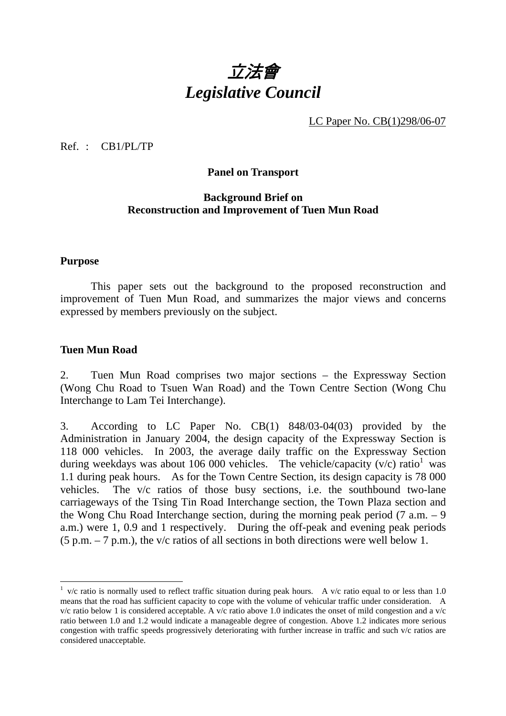

LC Paper No. CB(1)298/06-07

Ref. : CB1/PL/TP

#### **Panel on Transport**

#### **Background Brief on Reconstruction and Improvement of Tuen Mun Road**

#### **Purpose**

 $\overline{a}$ 

This paper sets out the background to the proposed reconstruction and improvement of Tuen Mun Road, and summarizes the major views and concerns expressed by members previously on the subject.

#### **Tuen Mun Road**

2. Tuen Mun Road comprises two major sections – the Expressway Section (Wong Chu Road to Tsuen Wan Road) and the Town Centre Section (Wong Chu Interchange to Lam Tei Interchange).

3. According to LC Paper No. CB(1) 848/03-04(03) provided by the Administration in January 2004, the design capacity of the Expressway Section is 118 000 vehicles. In 2003, the average daily traffic on the Expressway Section during weekdays was about 106 000 vehicles. The vehicle/capacity (v/c) ratio<sup>1</sup> was 1.1 during peak hours. As for the Town Centre Section, its design capacity is 78 000 vehicles. The v/c ratios of those busy sections, i.e. the southbound two-lane carriageways of the Tsing Tin Road Interchange section, the Town Plaza section and the Wong Chu Road Interchange section, during the morning peak period  $(7 \text{ a.m.} - 9)$ a.m.) were 1, 0.9 and 1 respectively. During the off-peak and evening peak periods (5 p.m. – 7 p.m.), the v/c ratios of all sections in both directions were well below 1.

 $1$  v/c ratio is normally used to reflect traffic situation during peak hours. A v/c ratio equal to or less than 1.0 means that the road has sufficient capacity to cope with the volume of vehicular traffic under consideration. A  $v/c$  ratio below 1 is considered acceptable. A  $v/c$  ratio above 1.0 indicates the onset of mild congestion and a  $v/c$ ratio between 1.0 and 1.2 would indicate a manageable degree of congestion. Above 1.2 indicates more serious congestion with traffic speeds progressively deteriorating with further increase in traffic and such v/c ratios are considered unacceptable.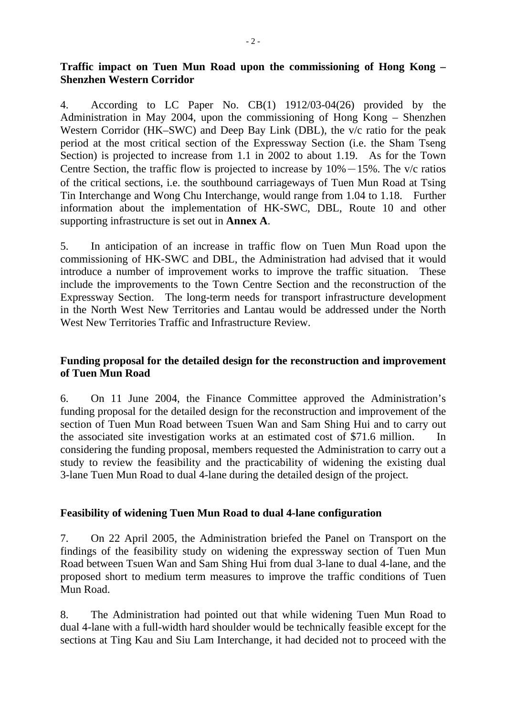### **Traffic impact on Tuen Mun Road upon the commissioning of Hong Kong – Shenzhen Western Corridor**

4. According to LC Paper No. CB(1) 1912/03-04(26) provided by the Administration in May 2004, upon the commissioning of Hong Kong – Shenzhen Western Corridor (HK–SWC) and Deep Bay Link (DBL), the v/c ratio for the peak period at the most critical section of the Expressway Section (i.e. the Sham Tseng Section) is projected to increase from 1.1 in 2002 to about 1.19. As for the Town Centre Section, the traffic flow is projected to increase by  $10\% - 15\%$ . The v/c ratios of the critical sections, i.e. the southbound carriageways of Tuen Mun Road at Tsing Tin Interchange and Wong Chu Interchange, would range from 1.04 to 1.18. Further information about the implementation of HK-SWC, DBL, Route 10 and other supporting infrastructure is set out in **Annex A**.

5. In anticipation of an increase in traffic flow on Tuen Mun Road upon the commissioning of HK-SWC and DBL, the Administration had advised that it would introduce a number of improvement works to improve the traffic situation. These include the improvements to the Town Centre Section and the reconstruction of the Expressway Section. The long-term needs for transport infrastructure development in the North West New Territories and Lantau would be addressed under the North West New Territories Traffic and Infrastructure Review.

### **Funding proposal for the detailed design for the reconstruction and improvement of Tuen Mun Road**

6. On 11 June 2004, the Finance Committee approved the Administration's funding proposal for the detailed design for the reconstruction and improvement of the section of Tuen Mun Road between Tsuen Wan and Sam Shing Hui and to carry out the associated site investigation works at an estimated cost of \$71.6 million. In considering the funding proposal, members requested the Administration to carry out a study to review the feasibility and the practicability of widening the existing dual 3-lane Tuen Mun Road to dual 4-lane during the detailed design of the project.

### **Feasibility of widening Tuen Mun Road to dual 4-lane configuration**

7. On 22 April 2005, the Administration briefed the Panel on Transport on the findings of the feasibility study on widening the expressway section of Tuen Mun Road between Tsuen Wan and Sam Shing Hui from dual 3-lane to dual 4-lane, and the proposed short to medium term measures to improve the traffic conditions of Tuen Mun Road.

8. The Administration had pointed out that while widening Tuen Mun Road to dual 4-lane with a full-width hard shoulder would be technically feasible except for the sections at Ting Kau and Siu Lam Interchange, it had decided not to proceed with the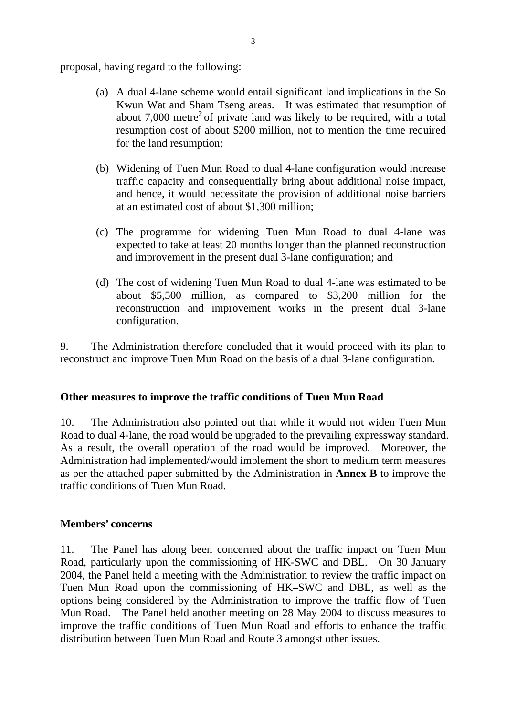proposal, having regard to the following:

- (a) A dual 4-lane scheme would entail significant land implications in the So Kwun Wat and Sham Tseng areas. It was estimated that resumption of about  $7,000$  metre<sup>2</sup> of private land was likely to be required, with a total resumption cost of about \$200 million, not to mention the time required for the land resumption;
- (b) Widening of Tuen Mun Road to dual 4-lane configuration would increase traffic capacity and consequentially bring about additional noise impact, and hence, it would necessitate the provision of additional noise barriers at an estimated cost of about \$1,300 million;
- (c) The programme for widening Tuen Mun Road to dual 4-lane was expected to take at least 20 months longer than the planned reconstruction and improvement in the present dual 3-lane configuration; and
- (d) The cost of widening Tuen Mun Road to dual 4-lane was estimated to be about \$5,500 million, as compared to \$3,200 million for the reconstruction and improvement works in the present dual 3-lane configuration.

9. The Administration therefore concluded that it would proceed with its plan to reconstruct and improve Tuen Mun Road on the basis of a dual 3-lane configuration.

### **Other measures to improve the traffic conditions of Tuen Mun Road**

10. The Administration also pointed out that while it would not widen Tuen Mun Road to dual 4-lane, the road would be upgraded to the prevailing expressway standard. As a result, the overall operation of the road would be improved. Moreover, the Administration had implemented/would implement the short to medium term measures as per the attached paper submitted by the Administration in **Annex B** to improve the traffic conditions of Tuen Mun Road.

#### **Members' concerns**

11. The Panel has along been concerned about the traffic impact on Tuen Mun Road, particularly upon the commissioning of HK-SWC and DBL. On 30 January 2004, the Panel held a meeting with the Administration to review the traffic impact on Tuen Mun Road upon the commissioning of HK–SWC and DBL, as well as the options being considered by the Administration to improve the traffic flow of Tuen Mun Road. The Panel held another meeting on 28 May 2004 to discuss measures to improve the traffic conditions of Tuen Mun Road and efforts to enhance the traffic distribution between Tuen Mun Road and Route 3 amongst other issues.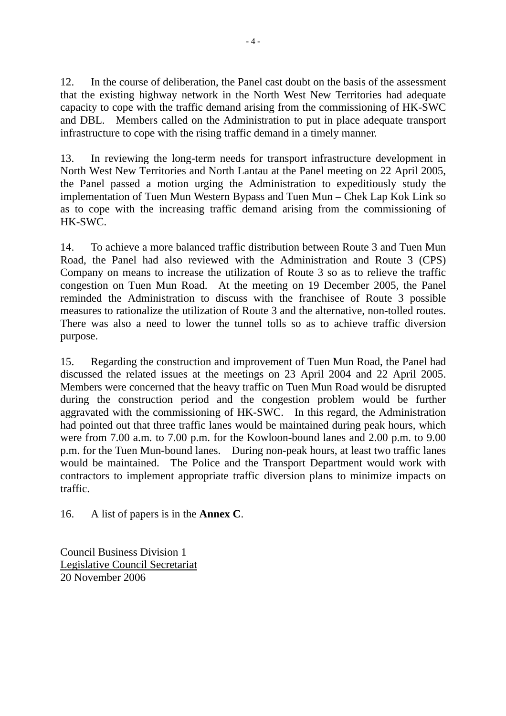12. In the course of deliberation, the Panel cast doubt on the basis of the assessment that the existing highway network in the North West New Territories had adequate capacity to cope with the traffic demand arising from the commissioning of HK-SWC and DBL. Members called on the Administration to put in place adequate transport infrastructure to cope with the rising traffic demand in a timely manner.

13. In reviewing the long-term needs for transport infrastructure development in North West New Territories and North Lantau at the Panel meeting on 22 April 2005, the Panel passed a motion urging the Administration to expeditiously study the implementation of Tuen Mun Western Bypass and Tuen Mun – Chek Lap Kok Link so as to cope with the increasing traffic demand arising from the commissioning of HK-SWC.

14. To achieve a more balanced traffic distribution between Route 3 and Tuen Mun Road, the Panel had also reviewed with the Administration and Route 3 (CPS) Company on means to increase the utilization of Route 3 so as to relieve the traffic congestion on Tuen Mun Road. At the meeting on 19 December 2005, the Panel reminded the Administration to discuss with the franchisee of Route 3 possible measures to rationalize the utilization of Route 3 and the alternative, non-tolled routes. There was also a need to lower the tunnel tolls so as to achieve traffic diversion purpose.

15. Regarding the construction and improvement of Tuen Mun Road, the Panel had discussed the related issues at the meetings on 23 April 2004 and 22 April 2005. Members were concerned that the heavy traffic on Tuen Mun Road would be disrupted during the construction period and the congestion problem would be further aggravated with the commissioning of HK-SWC. In this regard, the Administration had pointed out that three traffic lanes would be maintained during peak hours, which were from 7.00 a.m. to 7.00 p.m. for the Kowloon-bound lanes and 2.00 p.m. to 9.00 p.m. for the Tuen Mun-bound lanes. During non-peak hours, at least two traffic lanes would be maintained. The Police and the Transport Department would work with contractors to implement appropriate traffic diversion plans to minimize impacts on traffic.

16. A list of papers is in the **Annex C**.

Council Business Division 1 Legislative Council Secretariat 20 November 2006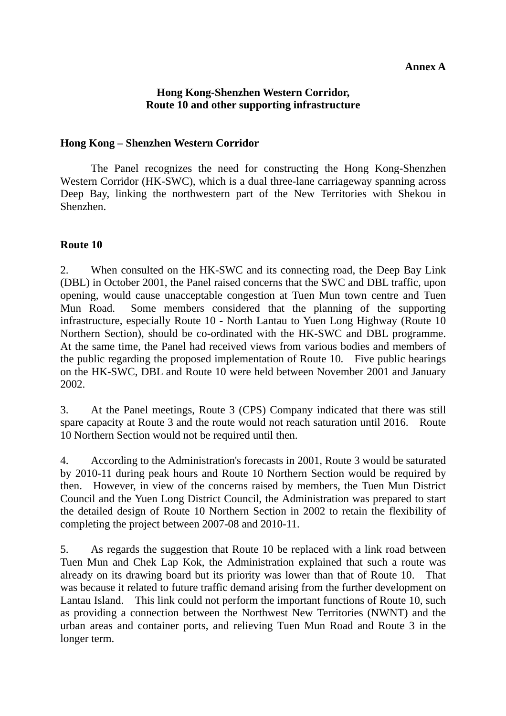#### **Annex A**

#### **Hong Kong-Shenzhen Western Corridor, Route 10 and other supporting infrastructure**

#### **Hong Kong – Shenzhen Western Corridor**

 The Panel recognizes the need for constructing the Hong Kong-Shenzhen Western Corridor (HK-SWC), which is a dual three-lane carriageway spanning across Deep Bay, linking the northwestern part of the New Territories with Shekou in Shenzhen.

#### **Route 10**

2. When consulted on the HK-SWC and its connecting road, the Deep Bay Link (DBL) in October 2001, the Panel raised concerns that the SWC and DBL traffic, upon opening, would cause unacceptable congestion at Tuen Mun town centre and Tuen Mun Road. Some members considered that the planning of the supporting infrastructure, especially Route 10 - North Lantau to Yuen Long Highway (Route 10 Northern Section), should be co-ordinated with the HK-SWC and DBL programme. At the same time, the Panel had received views from various bodies and members of the public regarding the proposed implementation of Route 10. Five public hearings on the HK-SWC, DBL and Route 10 were held between November 2001 and January 2002.

3. At the Panel meetings, Route 3 (CPS) Company indicated that there was still spare capacity at Route 3 and the route would not reach saturation until 2016. Route 10 Northern Section would not be required until then.

4. According to the Administration's forecasts in 2001, Route 3 would be saturated by 2010-11 during peak hours and Route 10 Northern Section would be required by then. However, in view of the concerns raised by members, the Tuen Mun District Council and the Yuen Long District Council, the Administration was prepared to start the detailed design of Route 10 Northern Section in 2002 to retain the flexibility of completing the project between 2007-08 and 2010-11.

5. As regards the suggestion that Route 10 be replaced with a link road between Tuen Mun and Chek Lap Kok, the Administration explained that such a route was already on its drawing board but its priority was lower than that of Route 10. That was because it related to future traffic demand arising from the further development on Lantau Island. This link could not perform the important functions of Route 10, such as providing a connection between the Northwest New Territories (NWNT) and the urban areas and container ports, and relieving Tuen Mun Road and Route 3 in the longer term.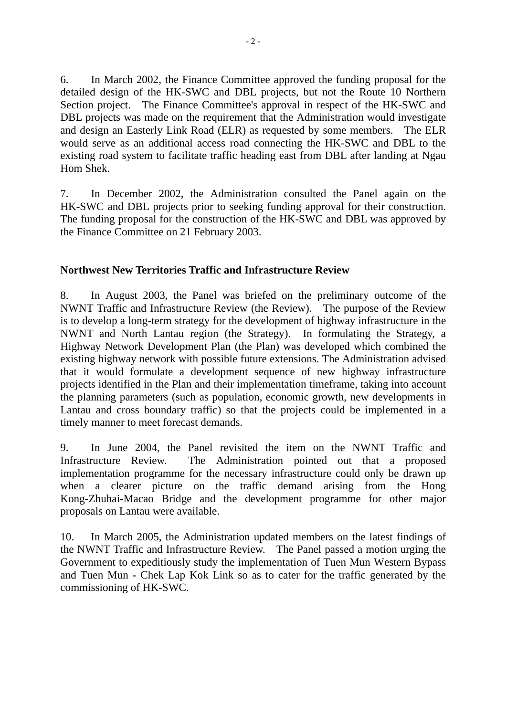6. In March 2002, the Finance Committee approved the funding proposal for the detailed design of the HK-SWC and DBL projects, but not the Route 10 Northern Section project. The Finance Committee's approval in respect of the HK-SWC and DBL projects was made on the requirement that the Administration would investigate and design an Easterly Link Road (ELR) as requested by some members. The ELR would serve as an additional access road connecting the HK-SWC and DBL to the existing road system to facilitate traffic heading east from DBL after landing at Ngau Hom Shek.

7. In December 2002, the Administration consulted the Panel again on the HK-SWC and DBL projects prior to seeking funding approval for their construction. The funding proposal for the construction of the HK-SWC and DBL was approved by the Finance Committee on 21 February 2003.

### **Northwest New Territories Traffic and Infrastructure Review**

8. In August 2003, the Panel was briefed on the preliminary outcome of the NWNT Traffic and Infrastructure Review (the Review). The purpose of the Review is to develop a long-term strategy for the development of highway infrastructure in the NWNT and North Lantau region (the Strategy). In formulating the Strategy, a Highway Network Development Plan (the Plan) was developed which combined the existing highway network with possible future extensions. The Administration advised that it would formulate a development sequence of new highway infrastructure projects identified in the Plan and their implementation timeframe, taking into account the planning parameters (such as population, economic growth, new developments in Lantau and cross boundary traffic) so that the projects could be implemented in a timely manner to meet forecast demands.

9. In June 2004, the Panel revisited the item on the NWNT Traffic and Infrastructure Review. The Administration pointed out that a proposed implementation programme for the necessary infrastructure could only be drawn up when a clearer picture on the traffic demand arising from the Hong Kong-Zhuhai-Macao Bridge and the development programme for other major proposals on Lantau were available.

10. In March 2005, the Administration updated members on the latest findings of the NWNT Traffic and Infrastructure Review. The Panel passed a motion urging the Government to expeditiously study the implementation of Tuen Mun Western Bypass and Tuen Mun **-** Chek Lap Kok Link so as to cater for the traffic generated by the commissioning of HK-SWC.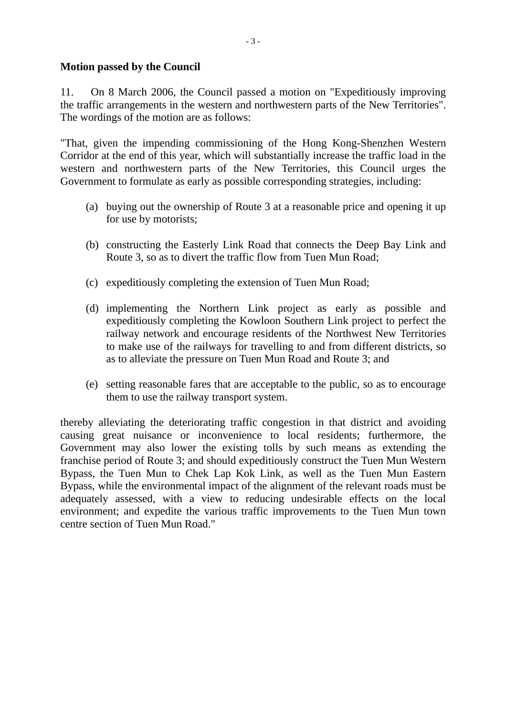#### **Motion passed by the Council**

11. On 8 March 2006, the Council passed a motion on "Expeditiously improving the traffic arrangements in the western and northwestern parts of the New Territories". The wordings of the motion are as follows:

"That, given the impending commissioning of the Hong Kong-Shenzhen Western Corridor at the end of this year, which will substantially increase the traffic load in the western and northwestern parts of the New Territories, this Council urges the Government to formulate as early as possible corresponding strategies, including:

- (a) buying out the ownership of Route 3 at a reasonable price and opening it up for use by motorists;
- (b) constructing the Easterly Link Road that connects the Deep Bay Link and Route 3, so as to divert the traffic flow from Tuen Mun Road;
- (c) expeditiously completing the extension of Tuen Mun Road;
- (d) implementing the Northern Link project as early as possible and expeditiously completing the Kowloon Southern Link project to perfect the railway network and encourage residents of the Northwest New Territories to make use of the railways for travelling to and from different districts, so as to alleviate the pressure on Tuen Mun Road and Route 3; and
- (e) setting reasonable fares that are acceptable to the public, so as to encourage them to use the railway transport system.

thereby alleviating the deteriorating traffic congestion in that district and avoiding causing great nuisance or inconvenience to local residents; furthermore, the Government may also lower the existing tolls by such means as extending the franchise period of Route 3; and should expeditiously construct the Tuen Mun Western Bypass, the Tuen Mun to Chek Lap Kok Link, as well as the Tuen Mun Eastern Bypass, while the environmental impact of the alignment of the relevant roads must be adequately assessed, with a view to reducing undesirable effects on the local environment; and expedite the various traffic improvements to the Tuen Mun town centre section of Tuen Mun Road."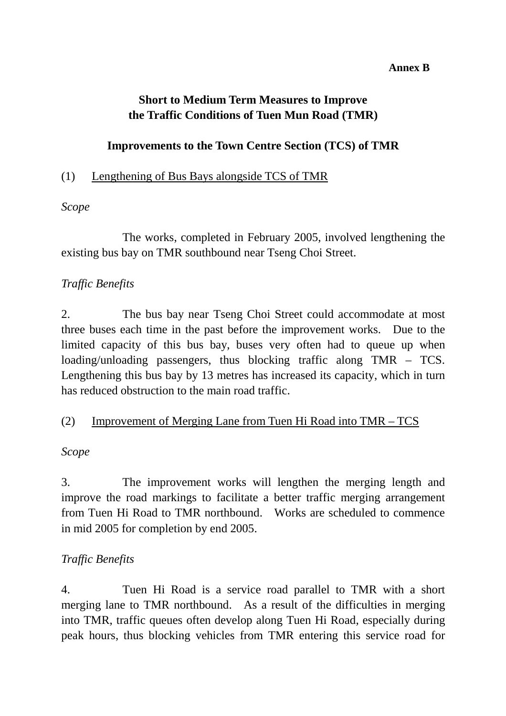# Annex **B**

# **Short to Medium Term Measures to Improve the Traffic Conditions of Tuen Mun Road (TMR)**

## **Improvements to the Town Centre Section (TCS) of TMR**

### (1) Lengthening of Bus Bays alongside TCS of TMR

## *Scope*

 The works, completed in February 2005, involved lengthening the existing bus bay on TMR southbound near Tseng Choi Street.

## *Traffic Benefits*

2. The bus bay near Tseng Choi Street could accommodate at most three buses each time in the past before the improvement works. Due to the limited capacity of this bus bay, buses very often had to queue up when loading/unloading passengers, thus blocking traffic along TMR – TCS. Lengthening this bus bay by 13 metres has increased its capacity, which in turn has reduced obstruction to the main road traffic.

## (2) Improvement of Merging Lane from Tuen Hi Road into TMR – TCS

### *Scope*

3. The improvement works will lengthen the merging length and improve the road markings to facilitate a better traffic merging arrangement from Tuen Hi Road to TMR northbound. Works are scheduled to commence in mid 2005 for completion by end 2005.

## *Traffic Benefits*

4. Tuen Hi Road is a service road parallel to TMR with a short merging lane to TMR northbound. As a result of the difficulties in merging into TMR, traffic queues often develop along Tuen Hi Road, especially during peak hours, thus blocking vehicles from TMR entering this service road for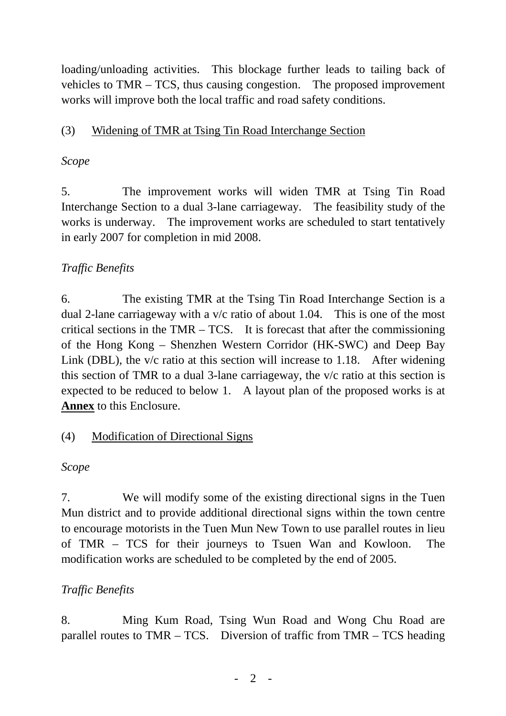loading/unloading activities. This blockage further leads to tailing back of vehicles to TMR – TCS, thus causing congestion. The proposed improvement works will improve both the local traffic and road safety conditions.

# (3) Widening of TMR at Tsing Tin Road Interchange Section

## *Scope*

5. The improvement works will widen TMR at Tsing Tin Road Interchange Section to a dual 3-lane carriageway. The feasibility study of the works is underway. The improvement works are scheduled to start tentatively in early 2007 for completion in mid 2008.

# *Traffic Benefits*

6. The existing TMR at the Tsing Tin Road Interchange Section is a dual 2-lane carriageway with a v/c ratio of about 1.04. This is one of the most critical sections in the TMR – TCS. It is forecast that after the commissioning of the Hong Kong – Shenzhen Western Corridor (HK-SWC) and Deep Bay Link (DBL), the v/c ratio at this section will increase to 1.18. After widening this section of TMR to a dual 3-lane carriageway, the v/c ratio at this section is expected to be reduced to below 1. A layout plan of the proposed works is at **Annex** to this Enclosure.

# (4) Modification of Directional Signs

## *Scope*

7. We will modify some of the existing directional signs in the Tuen Mun district and to provide additional directional signs within the town centre to encourage motorists in the Tuen Mun New Town to use parallel routes in lieu of TMR – TCS for their journeys to Tsuen Wan and Kowloon. The modification works are scheduled to be completed by the end of 2005.

# *Traffic Benefits*

8. Ming Kum Road, Tsing Wun Road and Wong Chu Road are parallel routes to TMR – TCS. Diversion of traffic from TMR – TCS heading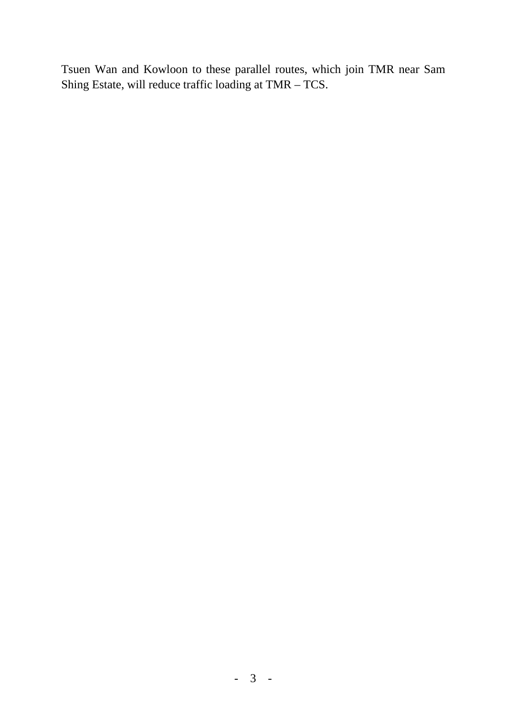Tsuen Wan and Kowloon to these parallel routes, which join TMR near Sam Shing Estate, will reduce traffic loading at TMR – TCS.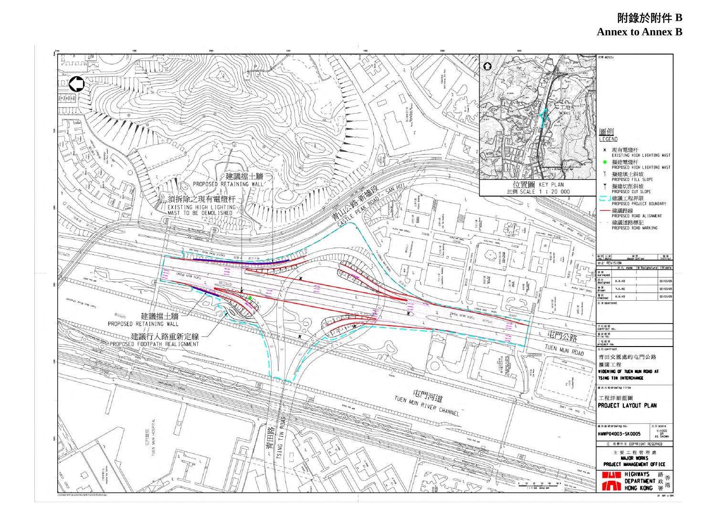# 附錄於附件 **6** 附錄於附件 **B Annex to Annex B**

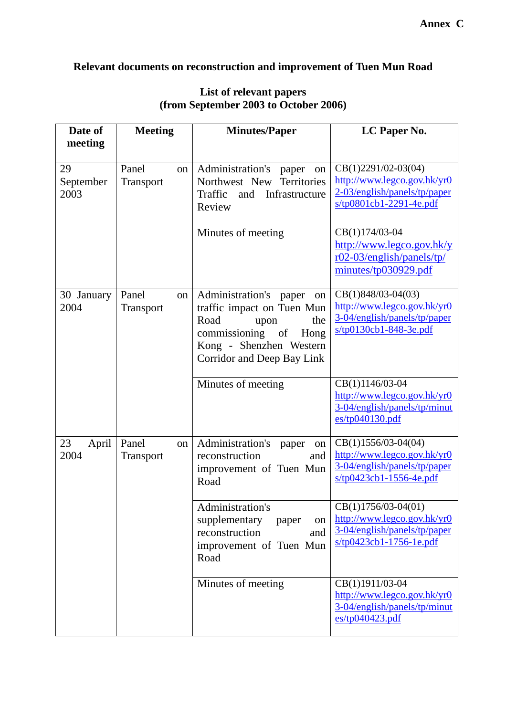# **Relevant documents on reconstruction and improvement of Tuen Mun Road**

| Date of                 | <b>Meeting</b>                  | <b>Minutes/Paper</b>                                                                                                                                                      | LC Paper No.                                                                                                       |
|-------------------------|---------------------------------|---------------------------------------------------------------------------------------------------------------------------------------------------------------------------|--------------------------------------------------------------------------------------------------------------------|
| meeting                 |                                 |                                                                                                                                                                           |                                                                                                                    |
| 29<br>September<br>2003 | Panel<br>on<br>Transport        | Administration's<br>paper<br>on<br>Northwest New<br>Territories<br>Traffic<br>Infrastructure<br>and<br>Review                                                             | $CB(1)2291/02-03(04)$<br>http://www.legco.gov.hk/yr0<br>2-03/english/panels/tp/paper<br>$s$ /tp0801cb1-2291-4e.pdf |
|                         |                                 | Minutes of meeting                                                                                                                                                        | CB(1)174/03-04<br>http://www.legco.gov.hk/y<br>r02-03/english/panels/tp/<br>minutes/tp030929.pdf                   |
| 30 January<br>2004      | Panel<br>on<br>Transport        | Administration's<br>paper<br>on<br>traffic impact on Tuen Mun<br>Road<br>the<br>upon<br>commissioning of<br>Hong<br>Kong - Shenzhen Western<br>Corridor and Deep Bay Link | CB(1)848/03-04(03)<br>http://www.legco.gov.hk/yr0<br>3-04/english/panels/tp/paper<br>$s/tp0130cb1-848-3e.pdf$      |
|                         |                                 | Minutes of meeting                                                                                                                                                        | CB(1)1146/03-04<br>http://www.legco.gov.hk/yr0<br>3-04/english/panels/tp/minut<br>$es$ /tp040130.pdf               |
| 23<br>April<br>2004     | Panel<br>on<br><b>Transport</b> | Administration's<br>paper<br>on<br>reconstruction<br>and<br>improvement of Tuen Mun<br>Road                                                                               | $CB(1)1556/03-04(04)$<br>http://www.legco.gov.hk/yr0<br>3-04/english/panels/tp/paper<br>$s$ /tp0423cb1-1556-4e.pdf |
|                         |                                 | Administration's<br>supplementary<br>paper<br>on<br>reconstruction<br>and<br>improvement of Tuen Mun<br>Road                                                              | $CB(1)1756/03-04(01)$<br>http://www.legco.gov.hk/yr0<br>3-04/english/panels/tp/paper<br>$s$ /tp0423cb1-1756-1e.pdf |
|                         |                                 | Minutes of meeting                                                                                                                                                        | CB(1)1911/03-04<br>http://www.legco.gov.hk/yr0<br>3-04/english/panels/tp/minut<br>es/tp040423.pdf                  |

## **List of relevant papers (from September 2003 to October 2006)**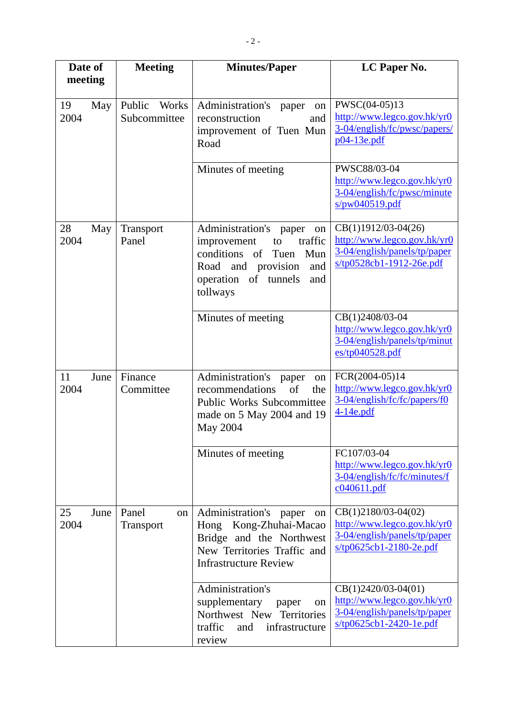| Date of           |                                 | <b>Meeting</b>                                                                              | <b>Minutes/Paper</b>                                                                                                                                                                | LC Paper No.                                                                                                       |
|-------------------|---------------------------------|---------------------------------------------------------------------------------------------|-------------------------------------------------------------------------------------------------------------------------------------------------------------------------------------|--------------------------------------------------------------------------------------------------------------------|
| meeting           |                                 |                                                                                             |                                                                                                                                                                                     |                                                                                                                    |
| 19<br>May<br>2004 | Public<br>Works<br>Subcommittee | Administration's<br>paper<br>on<br>reconstruction<br>and<br>improvement of Tuen Mun<br>Road | PWSC(04-05)13<br>http://www.legco.gov.hk/yr0<br>3-04/english/fc/pwsc/papers/<br>$p04-13e.pdf$                                                                                       |                                                                                                                    |
|                   |                                 |                                                                                             | Minutes of meeting                                                                                                                                                                  | PWSC88/03-04<br>http://www.legco.gov.hk/yr0<br>3-04/english/fc/pwsc/minute<br>$s$ /pw040519.pdf                    |
| 28<br>2004        | May                             | Transport<br>Panel                                                                          | Administration's<br>paper<br>on<br>traffic<br>improvement<br>to<br>of<br>conditions<br>Tuen<br>Mun<br>and provision<br>Road<br>and<br>operation<br>of<br>tunnels<br>and<br>tollways | $CB(1)1912/03-04(26)$<br>http://www.legco.gov.hk/yr0<br>3-04/english/panels/tp/paper<br>s/tp0528cb1-1912-26e.pdf   |
|                   |                                 |                                                                                             | Minutes of meeting                                                                                                                                                                  | CB(1)2408/03-04<br>http://www.legco.gov.hk/yr0<br>3-04/english/panels/tp/minut<br>es/tp040528.pdf                  |
| 11<br>2004        | June                            | Finance<br>Committee                                                                        | Administration's<br>paper<br>on<br>recommendations<br>of<br>the<br><b>Public Works Subcommittee</b><br>made on 5 May 2004 and 19<br>May 2004                                        | FCR(2004-05)14<br>http://www.legco.gov.hk/yr0<br>3-04/english/fc/fc/papers/f0<br>$4-14e.pdf$                       |
|                   |                                 |                                                                                             | Minutes of meeting                                                                                                                                                                  | FC107/03-04<br>http://www.legco.gov.hk/yr0<br>3-04/english/fc/fc/minutes/f<br>c040611.pdf                          |
| 25<br>2004        | June                            | Panel<br>on<br>Transport                                                                    | Administration's<br>paper<br>on<br>Kong-Zhuhai-Macao<br>Hong<br>Bridge and the Northwest<br>New Territories Traffic and<br><b>Infrastructure Review</b>                             | $CB(1)2180/03-04(02)$<br>http://www.legco.gov.hk/yr0<br>3-04/english/panels/tp/paper<br>$s$ /tp0625cb1-2180-2e.pdf |
|                   |                                 |                                                                                             | Administration's<br>supplementary<br>paper<br>on<br>Northwest New Territories<br>traffic<br>infrastructure<br>and<br>review                                                         | $CB(1)2420/03-04(01)$<br>http://www.legco.gov.hk/yr0<br>3-04/english/panels/tp/paper<br>$s$ /tp0625cb1-2420-1e.pdf |